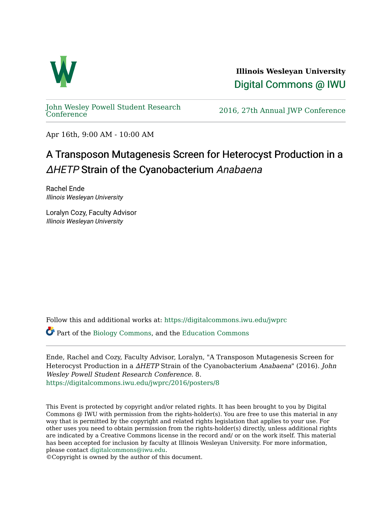

**Illinois Wesleyan University**  [Digital Commons @ IWU](https://digitalcommons.iwu.edu/) 

[John Wesley Powell Student Research](https://digitalcommons.iwu.edu/jwprc) 

2016, 27th Annual JWP [Conference](https://digitalcommons.iwu.edu/jwprc)

Apr 16th, 9:00 AM - 10:00 AM

## A Transposon Mutagenesis Screen for Heterocyst Production in a ∆HETP Strain of the Cyanobacterium Anabaena

Rachel Ende Illinois Wesleyan University

Loralyn Cozy, Faculty Advisor Illinois Wesleyan University

Follow this and additional works at: [https://digitalcommons.iwu.edu/jwprc](https://digitalcommons.iwu.edu/jwprc?utm_source=digitalcommons.iwu.edu%2Fjwprc%2F2016%2Fposters%2F8&utm_medium=PDF&utm_campaign=PDFCoverPages) 

Part of the [Biology Commons,](http://network.bepress.com/hgg/discipline/41?utm_source=digitalcommons.iwu.edu%2Fjwprc%2F2016%2Fposters%2F8&utm_medium=PDF&utm_campaign=PDFCoverPages) and the [Education Commons](http://network.bepress.com/hgg/discipline/784?utm_source=digitalcommons.iwu.edu%2Fjwprc%2F2016%2Fposters%2F8&utm_medium=PDF&utm_campaign=PDFCoverPages)

Ende, Rachel and Cozy, Faculty Advisor, Loralyn, "A Transposon Mutagenesis Screen for Heterocyst Production in a ∆HETP Strain of the Cyanobacterium Anabaena" (2016). John Wesley Powell Student Research Conference. 8. [https://digitalcommons.iwu.edu/jwprc/2016/posters/8](https://digitalcommons.iwu.edu/jwprc/2016/posters/8?utm_source=digitalcommons.iwu.edu%2Fjwprc%2F2016%2Fposters%2F8&utm_medium=PDF&utm_campaign=PDFCoverPages) 

This Event is protected by copyright and/or related rights. It has been brought to you by Digital Commons @ IWU with permission from the rights-holder(s). You are free to use this material in any way that is permitted by the copyright and related rights legislation that applies to your use. For other uses you need to obtain permission from the rights-holder(s) directly, unless additional rights are indicated by a Creative Commons license in the record and/ or on the work itself. This material has been accepted for inclusion by faculty at Illinois Wesleyan University. For more information, please contact [digitalcommons@iwu.edu.](mailto:digitalcommons@iwu.edu)

©Copyright is owned by the author of this document.